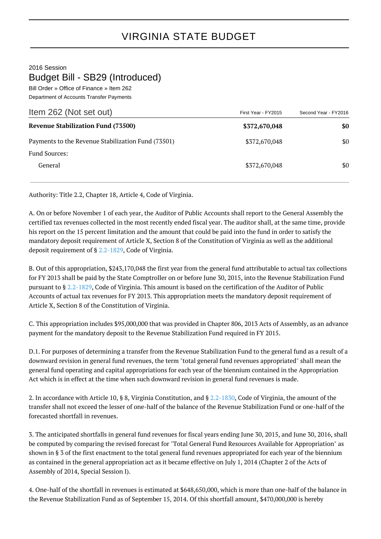## 2016 Session

## Budget Bill - SB29 (Introduced)

Bill Order » Office of Finance » Item 262 Department of Accounts Transfer Payments

| Item 262 (Not set out)                             | First Year - FY2015 | Second Year - FY2016 |
|----------------------------------------------------|---------------------|----------------------|
| <b>Revenue Stabilization Fund (73500)</b>          | \$372,670,048       | \$0                  |
| Payments to the Revenue Stabilization Fund (73501) | \$372,670,048       | \$0                  |
| <b>Fund Sources:</b>                               |                     |                      |
| General                                            | \$372,670,048       | \$0                  |

Authority: Title 2.2, Chapter 18, Article 4, Code of Virginia.

A. On or before November 1 of each year, the Auditor of Public Accounts shall report to the General Assembly the certified tax revenues collected in the most recently ended fiscal year. The auditor shall, at the same time, provide his report on the 15 percent limitation and the amount that could be paid into the fund in order to satisfy the mandatory deposit requirement of Article X, Section 8 of the Constitution of Virginia as well as the additional deposit requirement of § [2.2-1829](http://law.lis.virginia.gov/vacode/2.2-1829/), Code of Virginia.

B. Out of this appropriation, \$243,170,048 the first year from the general fund attributable to actual tax collections for FY 2013 shall be paid by the State Comptroller on or before June 30, 2015, into the Revenue Stabilization Fund pursuant to § [2.2-1829](http://law.lis.virginia.gov/vacode/2.2-1829/), Code of Virginia. This amount is based on the certification of the Auditor of Public Accounts of actual tax revenues for FY 2013. This appropriation meets the mandatory deposit requirement of Article X, Section 8 of the Constitution of Virginia.

C. This appropriation includes \$95,000,000 that was provided in Chapter 806, 2013 Acts of Assembly, as an advance payment for the mandatory deposit to the Revenue Stabilization Fund required in FY 2015.

D.1. For purposes of determining a transfer from the Revenue Stabilization Fund to the general fund as a result of a downward revision in general fund revenues, the term "total general fund revenues appropriated" shall mean the general fund operating and capital appropriations for each year of the biennium contained in the Appropriation Act which is in effect at the time when such downward revision in general fund revenues is made.

2. In accordance with Article 10, § 8, Virginia Constitution, and § [2.2-1830,](http://law.lis.virginia.gov/vacode/2.2-1830/) Code of Virginia, the amount of the transfer shall not exceed the lesser of one-half of the balance of the Revenue Stabilization Fund or one-half of the forecasted shortfall in revenues.

3. The anticipated shortfalls in general fund revenues for fiscal years ending June 30, 2015, and June 30, 2016, shall be computed by comparing the revised forecast for "Total General Fund Resources Available for Appropriation" as shown in § 3 of the first enactment to the total general fund revenues appropriated for each year of the biennium as contained in the general appropriation act as it became effective on July 1, 2014 (Chapter 2 of the Acts of Assembly of 2014, Special Session I).

4. One-half of the shortfall in revenues is estimated at \$648,650,000, which is more than one-half of the balance in the Revenue Stabilization Fund as of September 15, 2014. Of this shortfall amount, \$470,000,000 is hereby